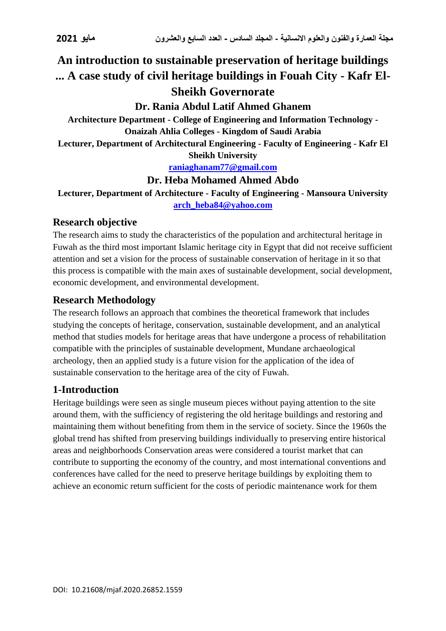# **An introduction to sustainable preservation of heritage buildings ... A case study of civil heritage buildings in Fouah City - Kafr El-Sheikh Governorate**

## **Dr. Rania Abdul Latif Ahmed Ghanem**

**Architecture Department - College of Engineering and Information Technology - Onaizah Ahlia Colleges - Kingdom of Saudi Arabia**

**Lecturer, Department of Architectural Engineering - Faculty of Engineering - Kafr El Sheikh University**

#### **[raniaghanam77@gmail.com](mailto:raniaghanam77@gmail.com)**

#### **Dr. Heba Mohamed Ahmed Abdo**

**Lecturer, Department of Architecture - Faculty of Engineering - Mansoura University [arch\\_heba84@yahoo.com](mailto:arch_heba84@yahoo.com)**

#### **Research objective**

The research aims to study the characteristics of the population and architectural heritage in Fuwah as the third most important Islamic heritage city in Egypt that did not receive sufficient attention and set a vision for the process of sustainable conservation of heritage in it so that this process is compatible with the main axes of sustainable development, social development, economic development, and environmental development.

#### **Research Methodology**

The research follows an approach that combines the theoretical framework that includes studying the concepts of heritage, conservation, sustainable development, and an analytical method that studies models for heritage areas that have undergone a process of rehabilitation compatible with the principles of sustainable development, Mundane archaeological archeology, then an applied study is a future vision for the application of the idea of sustainable conservation to the heritage area of the city of Fuwah.

### **1-Introduction**

Heritage buildings were seen as single museum pieces without paying attention to the site around them, with the sufficiency of registering the old heritage buildings and restoring and maintaining them without benefiting from them in the service of society. Since the 1960s the global trend has shifted from preserving buildings individually to preserving entire historical areas and neighborhoods Conservation areas were considered a tourist market that can contribute to supporting the economy of the country, and most international conventions and conferences have called for the need to preserve heritage buildings by exploiting them to achieve an economic return sufficient for the costs of periodic maintenance work for them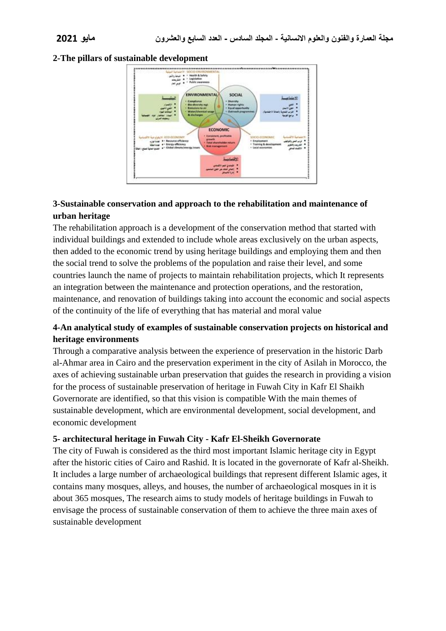#### **2-The pillars of sustainable development**



#### **3-Sustainable conservation and approach to the rehabilitation and maintenance of urban heritage**

The rehabilitation approach is a development of the conservation method that started with individual buildings and extended to include whole areas exclusively on the urban aspects, then added to the economic trend by using heritage buildings and employing them and then the social trend to solve the problems of the population and raise their level, and some countries launch the name of projects to maintain rehabilitation projects, which It represents an integration between the maintenance and protection operations, and the restoration, maintenance, and renovation of buildings taking into account the economic and social aspects of the continuity of the life of everything that has material and moral value

#### **4-An analytical study of examples of sustainable conservation projects on historical and heritage environments**

Through a comparative analysis between the experience of preservation in the historic Darb al-Ahmar area in Cairo and the preservation experiment in the city of Asilah in Morocco, the axes of achieving sustainable urban preservation that guides the research in providing a vision for the process of sustainable preservation of heritage in Fuwah City in Kafr El Shaikh Governorate are identified, so that this vision is compatible With the main themes of sustainable development, which are environmental development, social development, and economic development

#### **5- architectural heritage in Fuwah City - Kafr El-Sheikh Governorate**

The city of Fuwah is considered as the third most important Islamic heritage city in Egypt after the historic cities of Cairo and Rashid. It is located in the governorate of Kafr al-Sheikh. It includes a large number of archaeological buildings that represent different Islamic ages, it contains many mosques, alleys, and houses, the number of archaeological mosques in it is about 365 mosques, The research aims to study models of heritage buildings in Fuwah to envisage the process of sustainable conservation of them to achieve the three main axes of sustainable development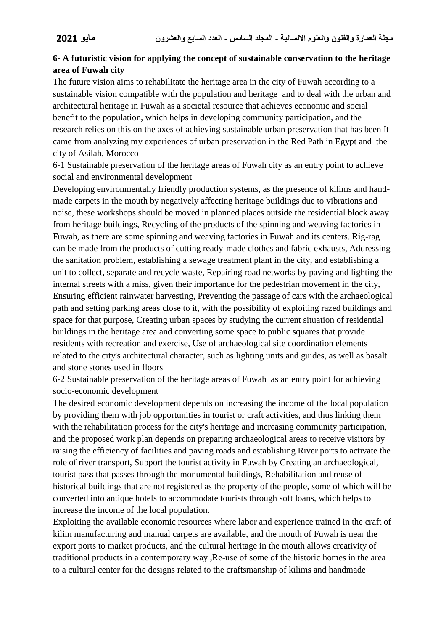#### **6- A futuristic vision for applying the concept of sustainable conservation to the heritage area of Fuwah city**

The future vision aims to rehabilitate the heritage area in the city of Fuwah according to a sustainable vision compatible with the population and heritage and to deal with the urban and architectural heritage in Fuwah as a societal resource that achieves economic and social benefit to the population, which helps in developing community participation, and the research relies on this on the axes of achieving sustainable urban preservation that has been It came from analyzing my experiences of urban preservation in the Red Path in Egypt and the city of Asilah, Morocco

6-1 Sustainable preservation of the heritage areas of Fuwah city as an entry point to achieve social and environmental development

Developing environmentally friendly production systems, as the presence of kilims and handmade carpets in the mouth by negatively affecting heritage buildings due to vibrations and noise, these workshops should be moved in planned places outside the residential block away from heritage buildings, Recycling of the products of the spinning and weaving factories in Fuwah, as there are some spinning and weaving factories in Fuwah and its centers. Rig-rag can be made from the products of cutting ready-made clothes and fabric exhausts, Addressing the sanitation problem, establishing a sewage treatment plant in the city, and establishing a unit to collect, separate and recycle waste, Repairing road networks by paving and lighting the internal streets with a miss, given their importance for the pedestrian movement in the city, Ensuring efficient rainwater harvesting, Preventing the passage of cars with the archaeological path and setting parking areas close to it, with the possibility of exploiting razed buildings and space for that purpose, Creating urban spaces by studying the current situation of residential buildings in the heritage area and converting some space to public squares that provide residents with recreation and exercise, Use of archaeological site coordination elements related to the city's architectural character, such as lighting units and guides, as well as basalt and stone stones used in floors

6-2 Sustainable preservation of the heritage areas of Fuwah as an entry point for achieving socio-economic development

The desired economic development depends on increasing the income of the local population by providing them with job opportunities in tourist or craft activities, and thus linking them with the rehabilitation process for the city's heritage and increasing community participation, and the proposed work plan depends on preparing archaeological areas to receive visitors by raising the efficiency of facilities and paving roads and establishing River ports to activate the role of river transport, Support the tourist activity in Fuwah by Creating an archaeological, tourist pass that passes through the monumental buildings, Rehabilitation and reuse of historical buildings that are not registered as the property of the people, some of which will be converted into antique hotels to accommodate tourists through soft loans, which helps to increase the income of the local population.

Exploiting the available economic resources where labor and experience trained in the craft of kilim manufacturing and manual carpets are available, and the mouth of Fuwah is near the export ports to market products, and the cultural heritage in the mouth allows creativity of traditional products in a contemporary way ,Re-use of some of the historic homes in the area to a cultural center for the designs related to the craftsmanship of kilims and handmade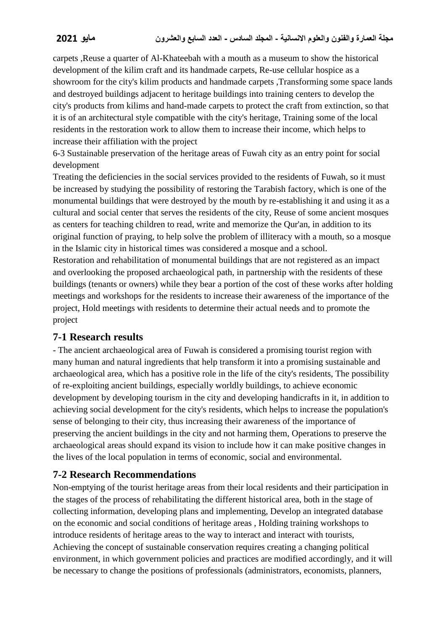carpets ,Reuse a quarter of Al-Khateebah with a mouth as a museum to show the historical development of the kilim craft and its handmade carpets, Re-use cellular hospice as a showroom for the city's kilim products and handmade carpets ,Transforming some space lands and destroyed buildings adjacent to heritage buildings into training centers to develop the city's products from kilims and hand-made carpets to protect the craft from extinction, so that it is of an architectural style compatible with the city's heritage, Training some of the local residents in the restoration work to allow them to increase their income, which helps to increase their affiliation with the project

6-3 Sustainable preservation of the heritage areas of Fuwah city as an entry point for social development

Treating the deficiencies in the social services provided to the residents of Fuwah, so it must be increased by studying the possibility of restoring the Tarabish factory, which is one of the monumental buildings that were destroyed by the mouth by re-establishing it and using it as a cultural and social center that serves the residents of the city, Reuse of some ancient mosques as centers for teaching children to read, write and memorize the Qur'an, in addition to its original function of praying, to help solve the problem of illiteracy with a mouth, so a mosque in the Islamic city in historical times was considered a mosque and a school. Restoration and rehabilitation of monumental buildings that are not registered as an impact

and overlooking the proposed archaeological path, in partnership with the residents of these buildings (tenants or owners) while they bear a portion of the cost of these works after holding meetings and workshops for the residents to increase their awareness of the importance of the project, Hold meetings with residents to determine their actual needs and to promote the project

### **7-1 Research results**

- The ancient archaeological area of Fuwah is considered a promising tourist region with many human and natural ingredients that help transform it into a promising sustainable and archaeological area, which has a positive role in the life of the city's residents, The possibility of re-exploiting ancient buildings, especially worldly buildings, to achieve economic development by developing tourism in the city and developing handicrafts in it, in addition to achieving social development for the city's residents, which helps to increase the population's sense of belonging to their city, thus increasing their awareness of the importance of preserving the ancient buildings in the city and not harming them, Operations to preserve the archaeological areas should expand its vision to include how it can make positive changes in the lives of the local population in terms of economic, social and environmental.

### **7-2 Research Recommendations**

Non-emptying of the tourist heritage areas from their local residents and their participation in the stages of the process of rehabilitating the different historical area, both in the stage of collecting information, developing plans and implementing, Develop an integrated database on the economic and social conditions of heritage areas , Holding training workshops to introduce residents of heritage areas to the way to interact and interact with tourists, Achieving the concept of sustainable conservation requires creating a changing political environment, in which government policies and practices are modified accordingly, and it will be necessary to change the positions of professionals (administrators, economists, planners,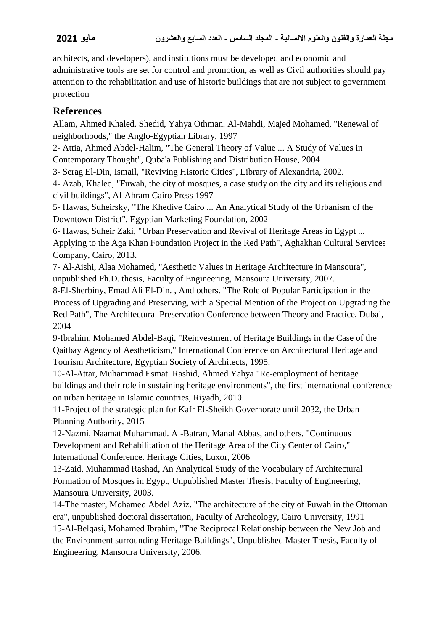architects, and developers), and institutions must be developed and economic and administrative tools are set for control and promotion, as well as Civil authorities should pay attention to the rehabilitation and use of historic buildings that are not subject to government protection

# **References**

Allam, Ahmed Khaled. Shedid, Yahya Othman. Al-Mahdi, Majed Mohamed, "Renewal of neighborhoods," the Anglo-Egyptian Library, 1997

2- Attia, Ahmed Abdel-Halim, "The General Theory of Value ... A Study of Values in Contemporary Thought", Quba'a Publishing and Distribution House, 2004

3- Serag El-Din, Ismail, "Reviving Historic Cities", Library of Alexandria, 2002.

4- Azab, Khaled, "Fuwah, the city of mosques, a case study on the city and its religious and civil buildings", Al-Ahram Cairo Press 1997

5- Hawas, Suheirsky, "The Khedive Cairo ... An Analytical Study of the Urbanism of the Downtown District", Egyptian Marketing Foundation, 2002

6- Hawas, Suheir Zaki, "Urban Preservation and Revival of Heritage Areas in Egypt ... Applying to the Aga Khan Foundation Project in the Red Path", Aghakhan Cultural Services Company, Cairo, 2013.

7- Al-Aishi, Alaa Mohamed, "Aesthetic Values in Heritage Architecture in Mansoura", unpublished Ph.D. thesis, Faculty of Engineering, Mansoura University, 2007.

8-El-Sherbiny, Emad Ali El-Din. , And others. "The Role of Popular Participation in the Process of Upgrading and Preserving, with a Special Mention of the Project on Upgrading the Red Path", The Architectural Preservation Conference between Theory and Practice, Dubai, 2004

9-Ibrahim, Mohamed Abdel-Baqi, "Reinvestment of Heritage Buildings in the Case of the Qaitbay Agency of Aestheticism," International Conference on Architectural Heritage and Tourism Architecture, Egyptian Society of Architects, 1995.

10-Al-Attar, Muhammad Esmat. Rashid, Ahmed Yahya "Re-employment of heritage buildings and their role in sustaining heritage environments", the first international conference on urban heritage in Islamic countries, Riyadh, 2010.

11-Project of the strategic plan for Kafr El-Sheikh Governorate until 2032, the Urban Planning Authority, 2015

12-Nazmi, Naamat Muhammad. Al-Batran, Manal Abbas, and others, "Continuous Development and Rehabilitation of the Heritage Area of the City Center of Cairo," International Conference. Heritage Cities, Luxor, 2006

13-Zaid, Muhammad Rashad, An Analytical Study of the Vocabulary of Architectural Formation of Mosques in Egypt, Unpublished Master Thesis, Faculty of Engineering, Mansoura University, 2003.

14-The master, Mohamed Abdel Aziz. "The architecture of the city of Fuwah in the Ottoman era", unpublished doctoral dissertation, Faculty of Archeology, Cairo University, 1991 15-Al-Belqasi, Mohamed Ibrahim, "The Reciprocal Relationship between the New Job and the Environment surrounding Heritage Buildings", Unpublished Master Thesis, Faculty of Engineering, Mansoura University, 2006.